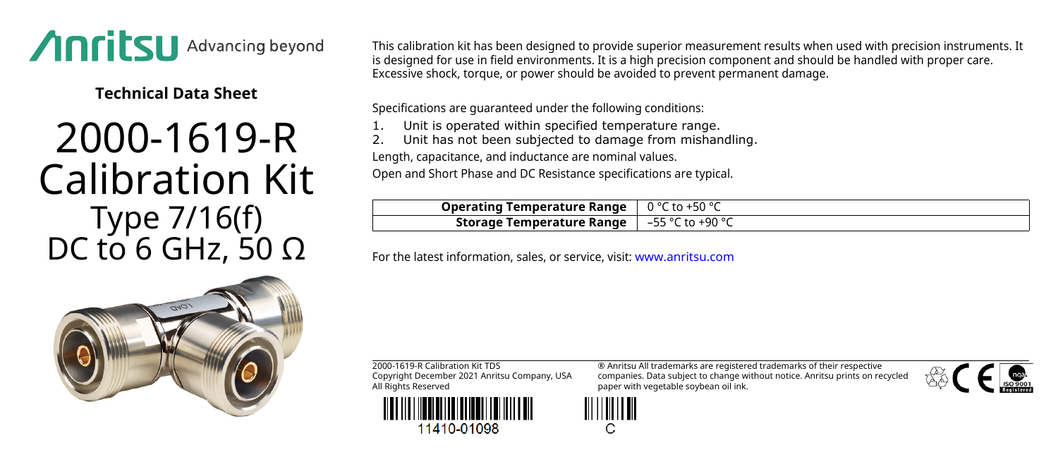

**Technical Data Sheet**

## 2000-1619-R Calibration Kit Type 7/16(f) DC to 6 GHz, 50  $Ω$

This calibration kit has been designed to provide superior measurement results when used with precision instruments. It is designed for use in field environments. It is a high precision component and should be handled with proper care. Excessive shock, torque, or power should be avoided to prevent permanent damage.

Specifications are guaranteed under the following conditions:

Unit is operated within specified temperature range.

Unit has not been subjected to damage from mishandling.

Length, capacitance, and inductance are nominal values.

Open and Short Phase and DC Resistance specifications are typical.

| <b>Operating Temperature Range</b> $\int 0^{\circ}$ C to +50 $^{\circ}$ C |  |
|---------------------------------------------------------------------------|--|
| <b>Storage Temperature Range</b> $\vert -55 \degree C$ to +90 $\degree C$ |  |

For the latest information, sales, or service, visit: [www.anritsu.com](http://www.anritsu.com)



2000-1619-R Calibration Kit TDS Copyright December 2021 Anritsu Company, USA All Rights Reserved



11410-01098

® Anritsu All trademarks are registered trademarks of their respective companies. Data subject to change without notice. Anritsu prints on recycled paper with vegetable soybean oil ink.